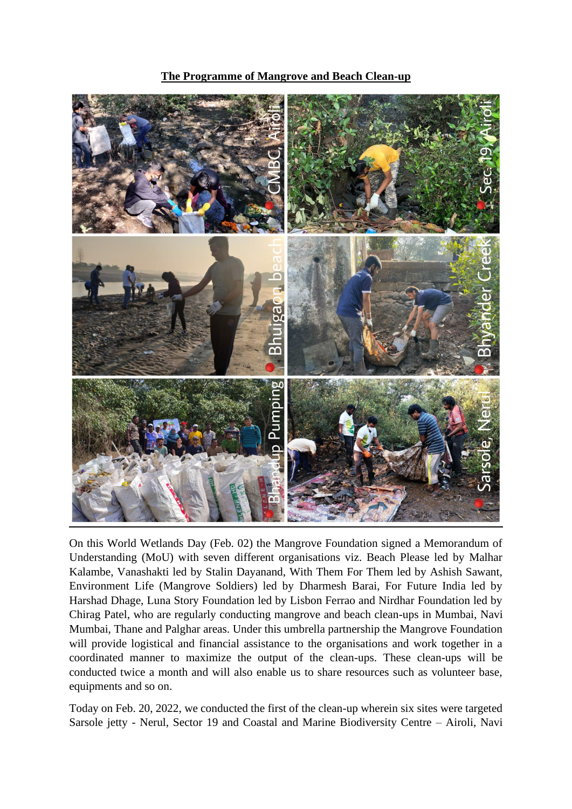**The Programme of Mangrove and Beach Clean-up**



On this World Wetlands Day (Feb. 02) the Mangrove Foundation signed a Memorandum of Understanding (MoU) with seven different organisations viz. Beach Please led by Malhar Kalambe, Vanashakti led by Stalin Dayanand, With Them For Them led by Ashish Sawant, Environment Life (Mangrove Soldiers) led by Dharmesh Barai, For Future India led by Harshad Dhage, Luna Story Foundation led by Lisbon Ferrao and Nirdhar Foundation led by Chirag Patel, who are regularly conducting mangrove and beach clean-ups in Mumbai, Navi Mumbai, Thane and Palghar areas. Under this umbrella partnership the Mangrove Foundation will provide logistical and financial assistance to the organisations and work together in a coordinated manner to maximize the output of the clean-ups. These clean-ups will be conducted twice a month and will also enable us to share resources such as volunteer base, equipments and so on.

Today on Feb. 20, 2022, we conducted the first of the clean-up wherein six sites were targeted Sarsole jetty - Nerul, Sector 19 and Coastal and Marine Biodiversity Centre – Airoli, Navi